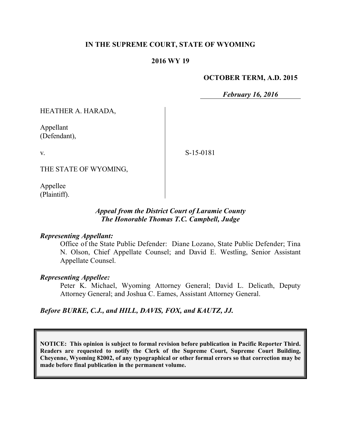### **IN THE SUPREME COURT, STATE OF WYOMING**

### **2016 WY 19**

#### **OCTOBER TERM, A.D. 2015**

*February 16, 2016*

HEATHER A. HARADA,

Appellant (Defendant),

S-15-0181

THE STATE OF WYOMING,

Appellee (Plaintiff).

### *Appeal from the District Court of Laramie County The Honorable Thomas T.C. Campbell, Judge*

#### *Representing Appellant:*

Office of the State Public Defender: Diane Lozano, State Public Defender; Tina N. Olson, Chief Appellate Counsel; and David E. Westling, Senior Assistant Appellate Counsel.

#### *Representing Appellee:*

Peter K. Michael, Wyoming Attorney General; David L. Delicath, Deputy Attorney General; and Joshua C. Eames, Assistant Attorney General.

#### *Before BURKE, C.J., and HILL, DAVIS, FOX, and KAUTZ, JJ.*

**NOTICE: This opinion is subject to formal revision before publication in Pacific Reporter Third. Readers are requested to notify the Clerk of the Supreme Court, Supreme Court Building, Cheyenne, Wyoming 82002, of any typographical or other formal errors so that correction may be made before final publication in the permanent volume.**

v.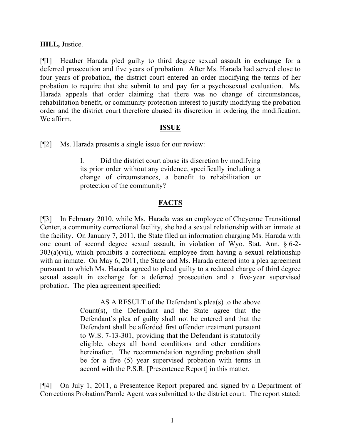### **HILL,** Justice.

[¶1] Heather Harada pled guilty to third degree sexual assault in exchange for a deferred prosecution and five years of probation. After Ms. Harada had served close to four years of probation, the district court entered an order modifying the terms of her probation to require that she submit to and pay for a psychosexual evaluation. Ms. Harada appeals that order claiming that there was no change of circumstances, rehabilitation benefit, or community protection interest to justify modifying the probation order and the district court therefore abused its discretion in ordering the modification. We affirm.

### **ISSUE**

[¶2] Ms. Harada presents a single issue for our review:

I. Did the district court abuse its discretion by modifying its prior order without any evidence, specifically including a change of circumstances, a benefit to rehabilitation or protection of the community?

# **FACTS**

[¶3] In February 2010, while Ms. Harada was an employee of Cheyenne Transitional Center, a community correctional facility, she had a sexual relationship with an inmate at the facility. On January 7, 2011, the State filed an information charging Ms. Harada with one count of second degree sexual assault, in violation of Wyo. Stat. Ann. § 6-2- 303(a)(vii), which prohibits a correctional employee from having a sexual relationship with an inmate. On May 6, 2011, the State and Ms. Harada entered into a plea agreement pursuant to which Ms. Harada agreed to plead guilty to a reduced charge of third degree sexual assault in exchange for a deferred prosecution and a five-year supervised probation. The plea agreement specified:

> AS A RESULT of the Defendant's plea(s) to the above Count(s), the Defendant and the State agree that the Defendant's plea of guilty shall not be entered and that the Defendant shall be afforded first offender treatment pursuant to W.S. 7-13-301, providing that the Defendant is statutorily eligible, obeys all bond conditions and other conditions hereinafter. The recommendation regarding probation shall be for a five (5) year supervised probation with terms in accord with the P.S.R. [Presentence Report] in this matter.

[¶4] On July 1, 2011, a Presentence Report prepared and signed by a Department of Corrections Probation/Parole Agent was submitted to the district court. The report stated: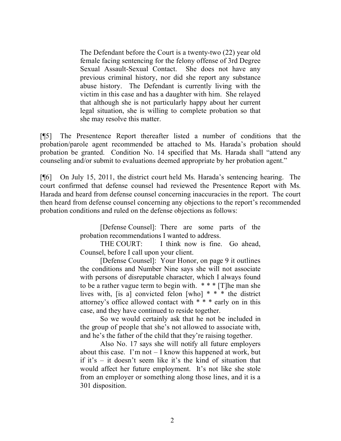The Defendant before the Court is a twenty-two (22) year old female facing sentencing for the felony offense of 3rd Degree Sexual Assault-Sexual Contact. She does not have any previous criminal history, nor did she report any substance abuse history. The Defendant is currently living with the victim in this case and has a daughter with him. She relayed that although she is not particularly happy about her current legal situation, she is willing to complete probation so that she may resolve this matter.

[¶5] The Presentence Report thereafter listed a number of conditions that the probation/parole agent recommended be attached to Ms. Harada's probation should probation be granted. Condition No. 14 specified that Ms. Harada shall "attend any counseling and/or submit to evaluations deemed appropriate by her probation agent."

[¶6] On July 15, 2011, the district court held Ms. Harada's sentencing hearing. The court confirmed that defense counsel had reviewed the Presentence Report with Ms. Harada and heard from defense counsel concerning inaccuracies in the report. The court then heard from defense counsel concerning any objections to the report's recommended probation conditions and ruled on the defense objections as follows:

> [Defense Counsel]: There are some parts of the probation recommendations I wanted to address.

> THE COURT: I think now is fine. Go ahead, Counsel, before I call upon your client.

> [Defense Counsel]: Your Honor, on page 9 it outlines the conditions and Number Nine says she will not associate with persons of disreputable character, which I always found to be a rather vague term to begin with. \* \* \* [T]he man she lives with, [is a] convicted felon [who] \* \* \* the district attorney's office allowed contact with \* \* \* early on in this case, and they have continued to reside together.

> So we would certainly ask that he not be included in the group of people that she's not allowed to associate with, and he's the father of the child that they're raising together.

> Also No. 17 says she will notify all future employers about this case. I'm not  $-$  I know this happened at work, but if it's – it doesn't seem like it's the kind of situation that would affect her future employment. It's not like she stole from an employer or something along those lines, and it is a 301 disposition.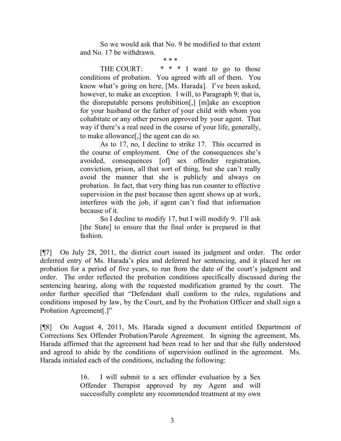So we would ask that No. 9 be modified to that extent and No. 17 be withdrawn.

\* \* \*

THE COURT:  $* * * I$  want to go to those conditions of probation. You agreed with all of them. You know what's going on here, [Ms. Harada]. I've been asked, however, to make an exception. I will, to Paragraph 9; that is, the disreputable persons prohibition[,] [m]ake an exception for your husband or the father of your child with whom you cohabitate or any other person approved by your agent. That way if there's a real need in the course of your life, generally, to make allowance[,] the agent can do so.

As to 17, no, I decline to strike 17. This occurred in the course of employment. One of the consequences she's avoided, consequences [of] sex offender registration, conviction, prison, all that sort of thing, but she can't really avoid the manner that she is publicly and always on probation. In fact, that very thing has run counter to effective supervision in the past because then agent shows up at work, interferes with the job, if agent can't find that information because of it.

So I decline to modify 17, but I will modify 9. I'll ask [the State] to ensure that the final order is prepared in that fashion.

[¶7] On July 28, 2011, the district court issued its judgment and order. The order deferred entry of Ms. Harada's plea and deferred her sentencing, and it placed her on probation for a period of five years, to run from the date of the court's judgment and order. The order reflected the probation conditions specifically discussed during the sentencing hearing, along with the requested modification granted by the court. The order further specified that "Defendant shall conform to the rules, regulations and conditions imposed by law, by the Court, and by the Probation Officer and shall sign a Probation Agreement[.]"

[¶8] On August 4, 2011, Ms. Harada signed a document entitled Department of Corrections Sex Offender Probation/Parole Agreement. In signing the agreement, Ms. Harada affirmed that the agreement had been read to her and that she fully understood and agreed to abide by the conditions of supervision outlined in the agreement. Ms. Harada initialed each of the conditions, including the following:

> 16. I will submit to a sex offender evaluation by a Sex Offender Therapist approved by my Agent and will successfully complete any recommended treatment at my own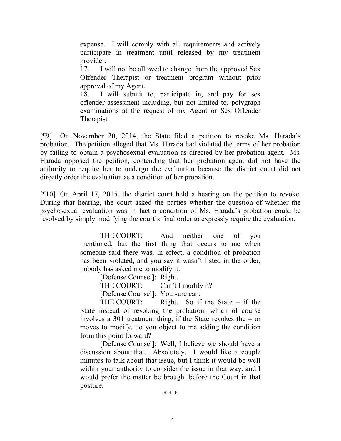expense. I will comply with all requirements and actively participate in treatment until released by my treatment provider.

17. I will not be allowed to change from the approved Sex Offender Therapist or treatment program without prior approval of my Agent.

18. I will submit to, participate in, and pay for sex offender assessment including, but not limited to, polygraph examinations at the request of my Agent or Sex Offender Therapist.

[¶9] On November 20, 2014, the State filed a petition to revoke Ms. Harada's probation. The petition alleged that Ms. Harada had violated the terms of her probation by failing to obtain a psychosexual evaluation as directed by her probation agent. Ms. Harada opposed the petition, contending that her probation agent did not have the authority to require her to undergo the evaluation because the district court did not directly order the evaluation as a condition of her probation.

[¶10] On April 17, 2015, the district court held a hearing on the petition to revoke. During that hearing, the court asked the parties whether the question of whether the psychosexual evaluation was in fact a condition of Ms. Harada's probation could be resolved by simply modifying the court's final order to expressly require the evaluation.

> THE COURT: And neither one of you mentioned, but the first thing that occurs to me when someone said there was, in effect, a condition of probation has been violated, and you say it wasn't listed in the order, nobody has asked me to modify it.

> > [Defense Counsel]: Right.

THE COURT: Can't I modify it?

[Defense Counsel]: You sure can.

THE COURT: Right. So if the State – if the State instead of revoking the probation, which of course involves a 301 treatment thing, if the State revokes the – or moves to modify, do you object to me adding the condition from this point forward?

[Defense Counsel]: Well, I believe we should have a discussion about that. Absolutely. I would like a couple minutes to talk about that issue, but I think it would be well within your authority to consider the issue in that way, and I would prefer the matter be brought before the Court in that posture.

\* \* \*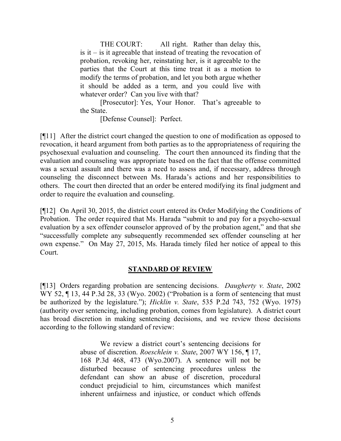THE COURT: All right. Rather than delay this, is it – is it agreeable that instead of treating the revocation of probation, revoking her, reinstating her, is it agreeable to the parties that the Court at this time treat it as a motion to modify the terms of probation, and let you both argue whether it should be added as a term, and you could live with whatever order? Can you live with that?

[Prosecutor]: Yes, Your Honor. That's agreeable to the State.

[Defense Counsel]: Perfect.

[¶11] After the district court changed the question to one of modification as opposed to revocation, it heard argument from both parties as to the appropriateness of requiring the psychosexual evaluation and counseling. The court then announced its finding that the evaluation and counseling was appropriate based on the fact that the offense committed was a sexual assault and there was a need to assess and, if necessary, address through counseling the disconnect between Ms. Harada's actions and her responsibilities to others. The court then directed that an order be entered modifying its final judgment and order to require the evaluation and counseling.

[¶12] On April 30, 2015, the district court entered its Order Modifying the Conditions of Probation. The order required that Ms. Harada "submit to and pay for a psycho-sexual evaluation by a sex offender counselor approved of by the probation agent," and that she "successfully complete any subsequently recommended sex offender counseling at her own expense." On May 27, 2015, Ms. Harada timely filed her notice of appeal to this Court.

## **STANDARD OF REVIEW**

[¶13] Orders regarding probation are sentencing decisions. *Daugherty v. State*, 2002 WY 52,  $\P$  13, 44 P.3d 28, 33 (Wyo. 2002) ("Probation is a form of sentencing that must be authorized by the legislature."); *Hicklin v. State*, 535 P.2d 743, 752 (Wyo. 1975) (authority over sentencing, including probation, comes from legislature). A district court has broad discretion in making sentencing decisions, and we review those decisions according to the following standard of review:

> We review a district court's sentencing decisions for abuse of discretion. *Roeschlein v. State*, 2007 WY 156, ¶ 17, 168 P.3d 468, 473 (Wyo.2007). A sentence will not be disturbed because of sentencing procedures unless the defendant can show an abuse of discretion, procedural conduct prejudicial to him, circumstances which manifest inherent unfairness and injustice, or conduct which offends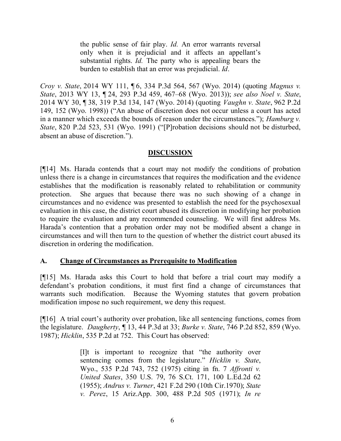the public sense of fair play. *Id.* An error warrants reversal only when it is prejudicial and it affects an appellant's substantial rights. *Id.* The party who is appealing bears the burden to establish that an error was prejudicial. *Id*.

*Croy v. State*, 2014 WY 111, ¶ 6, 334 P.3d 564, 567 (Wyo. 2014) (quoting *Magnus v. State*, 2013 WY 13, ¶ 24, 293 P.3d 459, 467–68 (Wyo. 2013)); *see also Noel v. State*, 2014 WY 30, ¶ 38, 319 P.3d 134, 147 (Wyo. 2014) (quoting *Vaughn v. State*, 962 P.2d 149, 152 (Wyo. 1998)) ("An abuse of discretion does not occur unless a court has acted in a manner which exceeds the bounds of reason under the circumstances."); *Hamburg v. State*, 820 P.2d 523, 531 (Wyo. 1991) ("[P]robation decisions should not be disturbed, absent an abuse of discretion.").

# **DISCUSSION**

[¶14] Ms. Harada contends that a court may not modify the conditions of probation unless there is a change in circumstances that requires the modification and the evidence establishes that the modification is reasonably related to rehabilitation or community protection. She argues that because there was no such showing of a change in circumstances and no evidence was presented to establish the need for the psychosexual evaluation in this case, the district court abused its discretion in modifying her probation to require the evaluation and any recommended counseling. We will first address Ms. Harada's contention that a probation order may not be modified absent a change in circumstances and will then turn to the question of whether the district court abused its discretion in ordering the modification.

## **A. Change of Circumstances as Prerequisite to Modification**

[¶15] Ms. Harada asks this Court to hold that before a trial court may modify a defendant's probation conditions, it must first find a change of circumstances that warrants such modification. Because the Wyoming statutes that govern probation modification impose no such requirement, we deny this request.

[¶16] A trial court's authority over probation, like all sentencing functions, comes from the legislature. *Daugherty*, ¶ 13, 44 P.3d at 33; *Burke v. State*, 746 P.2d 852, 859 (Wyo. 1987); *Hicklin*, 535 P.2d at 752. This Court has observed:

> [I]t is important to recognize that "the authority over sentencing comes from the legislature." *Hicklin v. State*, Wyo., 535 P.2d 743, 752 (1975) citing in fn. 7 *Affronti v. United States*, 350 U.S. 79, 76 S.Ct. 171, 100 L.Ed.2d 62 (1955); *Andrus v. Turner*, 421 F.2d 290 (10th Cir.1970); *State v. Perez*, 15 Ariz.App. 300, 488 P.2d 505 (1971); *In re*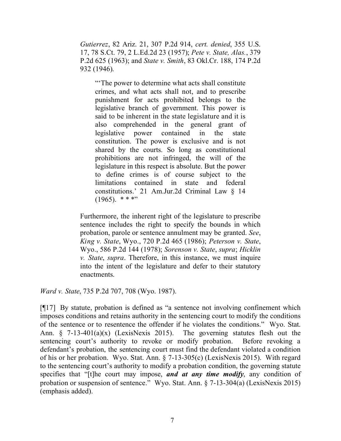*Gutierrez*, 82 Ariz. 21, 307 P.2d 914, *cert. denied*, 355 U.S. 17, 78 S.Ct. 79, 2 L.Ed.2d 23 (1957); *Pete v. State, Alas.*, 379 P.2d 625 (1963); and *State v. Smith*, 83 Okl.Cr. 188, 174 P.2d 932 (1946).

"The power to determine what acts shall constitute crimes, and what acts shall not, and to prescribe punishment for acts prohibited belongs to the legislative branch of government. This power is said to be inherent in the state legislature and it is also comprehended in the general grant of legislative power contained in the state constitution. The power is exclusive and is not shared by the courts. So long as constitutional prohibitions are not infringed, the will of the legislature in this respect is absolute. But the power to define crimes is of course subject to the limitations contained in state and federal constitutions.' 21 Am.Jur.2d Criminal Law § 14  $(1965)$ . \* \* \*"

Furthermore, the inherent right of the legislature to prescribe sentence includes the right to specify the bounds in which probation, parole or sentence annulment may be granted. *See*, *King v. State*, Wyo., 720 P.2d 465 (1986); *Peterson v. State*, Wyo., 586 P.2d 144 (1978); *Sorenson v. State*, *supra*; *Hicklin v. State*, *supra*. Therefore, in this instance, we must inquire into the intent of the legislature and defer to their statutory enactments.

*Ward v. State*, 735 P.2d 707, 708 (Wyo. 1987).

[¶17] By statute, probation is defined as "a sentence not involving confinement which imposes conditions and retains authority in the sentencing court to modify the conditions of the sentence or to resentence the offender if he violates the conditions." Wyo. Stat. Ann.  $\zeta$  7-13-401(a)(x) (LexisNexis 2015). The governing statutes flesh out the sentencing court's authority to revoke or modify probation. Before revoking a defendant's probation, the sentencing court must find the defendant violated a condition of his or her probation. Wyo. Stat. Ann. § 7-13-305(c) (LexisNexis 2015). With regard to the sentencing court's authority to modify a probation condition, the governing statute specifies that "[t]he court may impose, *and at any time modify*, any condition of probation or suspension of sentence." Wyo. Stat. Ann. § 7-13-304(a) (LexisNexis 2015) (emphasis added).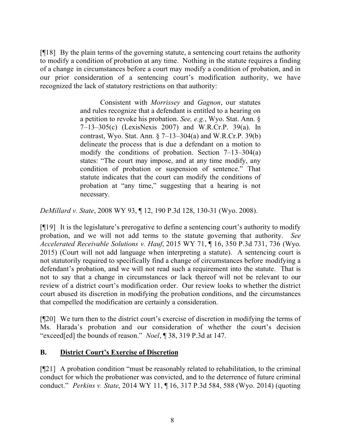[¶18] By the plain terms of the governing statute, a sentencing court retains the authority to modify a condition of probation at any time. Nothing in the statute requires a finding of a change in circumstances before a court may modify a condition of probation, and in our prior consideration of a sentencing court's modification authority, we have recognized the lack of statutory restrictions on that authority:

> Consistent with *Morrissey* and *Gagnon*, our statutes and rules recognize that a defendant is entitled to a hearing on a petition to revoke his probation. *See, e.g.*, Wyo. Stat. Ann. § 7–13–305(c) (LexisNexis 2007) and W.R.Cr.P. 39(a). In contrast, Wyo. Stat. Ann. § 7–13–304(a) and W.R.Cr.P. 39(b) delineate the process that is due a defendant on a motion to modify the conditions of probation. Section  $7-13-304(a)$ states: "The court may impose, and at any time modify, any condition of probation or suspension of sentence." That statute indicates that the court can modify the conditions of probation at "any time," suggesting that a hearing is not necessary.

*DeMillard v. State*, 2008 WY 93, ¶ 12, 190 P.3d 128, 130-31 (Wyo. 2008).

[¶19] It is the legislature's prerogative to define a sentencing court's authority to modify probation, and we will not add terms to the statute governing that authority. *See Accelerated Receivable Solutions v. Hauf*, 2015 WY 71, ¶ 16, 350 P.3d 731, 736 (Wyo. 2015) (Court will not add language when interpreting a statute). A sentencing court is not statutorily required to specifically find a change of circumstances before modifying a defendant's probation, and we will not read such a requirement into the statute. That is not to say that a change in circumstances or lack thereof will not be relevant to our review of a district court's modification order. Our review looks to whether the district court abused its discretion in modifying the probation conditions, and the circumstances that compelled the modification are certainly a consideration.

[¶20] We turn then to the district court's exercise of discretion in modifying the terms of Ms. Harada's probation and our consideration of whether the court's decision "exceed[ed] the bounds of reason." *Noel*, ¶ 38, 319 P.3d at 147.

# **B. District Court's Exercise of Discretion**

[¶21] A probation condition "must be reasonably related to rehabilitation, to the criminal conduct for which the probationer was convicted, and to the deterrence of future criminal conduct." *Perkins v. State*, 2014 WY 11, ¶ 16, 317 P.3d 584, 588 (Wyo. 2014) (quoting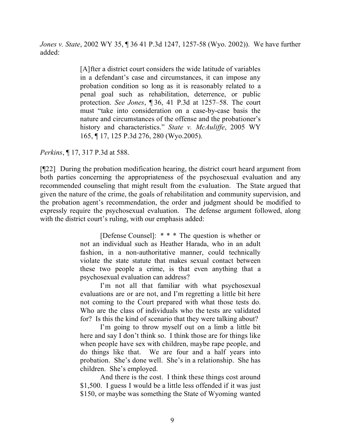*Jones v. State*, 2002 WY 35, ¶ 36 41 P.3d 1247, 1257-58 (Wyo. 2002)). We have further added:

> [A]fter a district court considers the wide latitude of variables in a defendant's case and circumstances, it can impose any probation condition so long as it is reasonably related to a penal goal such as rehabilitation, deterrence, or public protection. *See Jones*, ¶ 36, 41 P.3d at 1257–58. The court must "take into consideration on a case-by-case basis the nature and circumstances of the offense and the probationer's history and characteristics." *State v. McAuliffe*, 2005 WY 165, ¶ 17, 125 P.3d 276, 280 (Wyo.2005).

*Perkins*, ¶ 17, 317 P.3d at 588.

[¶22] During the probation modification hearing, the district court heard argument from both parties concerning the appropriateness of the psychosexual evaluation and any recommended counseling that might result from the evaluation. The State argued that given the nature of the crime, the goals of rehabilitation and community supervision, and the probation agent's recommendation, the order and judgment should be modified to expressly require the psychosexual evaluation. The defense argument followed, along with the district court's ruling, with our emphasis added:

> [Defense Counsel]: \* \* \* The question is whether or not an individual such as Heather Harada, who in an adult fashion, in a non-authoritative manner, could technically violate the state statute that makes sexual contact between these two people a crime, is that even anything that a psychosexual evaluation can address?

> I'm not all that familiar with what psychosexual evaluations are or are not, and I'm regretting a little bit here not coming to the Court prepared with what those tests do. Who are the class of individuals who the tests are validated for? Is this the kind of scenario that they were talking about?

> I'm going to throw myself out on a limb a little bit here and say I don't think so. I think those are for things like when people have sex with children, maybe rape people, and do things like that. We are four and a half years into probation. She's done well. She's in a relationship. She has children. She's employed.

> And there is the cost. I think these things cost around \$1,500. I guess I would be a little less offended if it was just \$150, or maybe was something the State of Wyoming wanted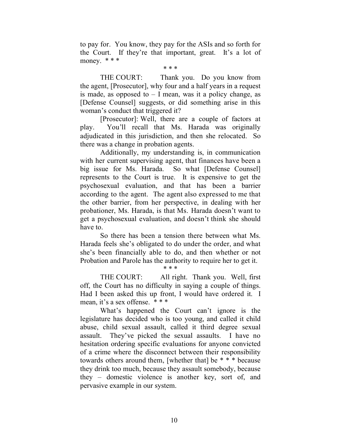to pay for. You know, they pay for the ASIs and so forth for the Court. If they're that important, great. It's a lot of money. \* \* \*

\* \* \*

THE COURT: Thank you. Do you know from the agent, [Prosecutor], why four and a half years in a request is made, as opposed to  $-$  I mean, was it a policy change, as [Defense Counsel] suggests, or did something arise in this woman's conduct that triggered it?

[Prosecutor]: Well, there are a couple of factors at play. You'll recall that Ms. Harada was originally adjudicated in this jurisdiction, and then she relocated. So there was a change in probation agents.

Additionally, my understanding is, in communication with her current supervising agent, that finances have been a big issue for Ms. Harada. So what [Defense Counsel] represents to the Court is true. It is expensive to get the psychosexual evaluation, and that has been a barrier according to the agent. The agent also expressed to me that the other barrier, from her perspective, in dealing with her probationer, Ms. Harada, is that Ms. Harada doesn't want to get a psychosexual evaluation, and doesn't think she should have to.

So there has been a tension there between what Ms. Harada feels she's obligated to do under the order, and what she's been financially able to do, and then whether or not Probation and Parole has the authority to require her to get it.

\* \* \*

THE COURT: All right. Thank you. Well, first off, the Court has no difficulty in saying a couple of things. Had I been asked this up front, I would have ordered it. I mean, it's a sex offense. \* \* \*

What's happened the Court can't ignore is the legislature has decided who is too young, and called it child abuse, child sexual assault, called it third degree sexual assault. They've picked the sexual assaults. I have no hesitation ordering specific evaluations for anyone convicted of a crime where the disconnect between their responsibility towards others around them, [whether that] be \* \* \* because they drink too much, because they assault somebody, because they – domestic violence is another key, sort of, and pervasive example in our system.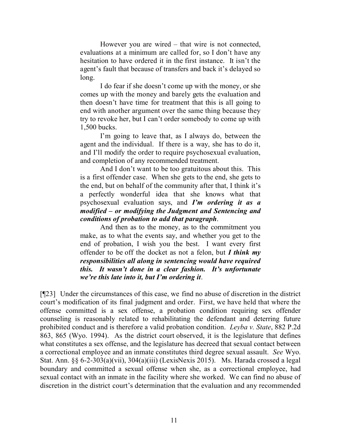However you are wired – that wire is not connected, evaluations at a minimum are called for, so I don't have any hesitation to have ordered it in the first instance. It isn't the agent's fault that because of transfers and back it's delayed so long.

I do fear if she doesn't come up with the money, or she comes up with the money and barely gets the evaluation and then doesn't have time for treatment that this is all going to end with another argument over the same thing because they try to revoke her, but I can't order somebody to come up with 1,500 bucks.

I'm going to leave that, as I always do, between the agent and the individual. If there is a way, she has to do it, and I'll modify the order to require psychosexual evaluation, and completion of any recommended treatment.

And I don't want to be too gratuitous about this. This is a first offender case. When she gets to the end, she gets to the end, but on behalf of the community after that, I think it's a perfectly wonderful idea that she knows what that psychosexual evaluation says, and *I'm ordering it as a modified – or modifying the Judgment and Sentencing and conditions of probation to add that paragraph*.

And then as to the money, as to the commitment you make, as to what the events say, and whether you get to the end of probation, I wish you the best. I want every first offender to be off the docket as not a felon, but *I think my responsibilities all along in sentencing would have required this. It wasn't done in a clear fashion. It's unfortunate we're this late into it, but I'm ordering it*.

[¶23] Under the circumstances of this case, we find no abuse of discretion in the district court's modification of its final judgment and order. First, we have held that where the offense committed is a sex offense, a probation condition requiring sex offender counseling is reasonably related to rehabilitating the defendant and deterring future prohibited conduct and is therefore a valid probation condition. *Leyba v. State*, 882 P.2d 863, 865 (Wyo. 1994). As the district court observed, it is the legislature that defines what constitutes a sex offense, and the legislature has decreed that sexual contact between a correctional employee and an inmate constitutes third degree sexual assault. *See* Wyo. Stat. Ann. §§ 6-2-303(a)(vii), 304(a)(iii) (LexisNexis 2015). Ms. Harada crossed a legal boundary and committed a sexual offense when she, as a correctional employee, had sexual contact with an inmate in the facility where she worked. We can find no abuse of discretion in the district court's determination that the evaluation and any recommended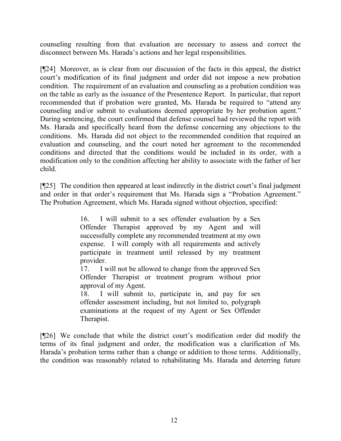counseling resulting from that evaluation are necessary to assess and correct the disconnect between Ms. Harada's actions and her legal responsibilities.

[¶24] Moreover, as is clear from our discussion of the facts in this appeal, the district court's modification of its final judgment and order did not impose a new probation condition. The requirement of an evaluation and counseling as a probation condition was on the table as early as the issuance of the Presentence Report. In particular, that report recommended that if probation were granted, Ms. Harada be required to "attend any counseling and/or submit to evaluations deemed appropriate by her probation agent." During sentencing, the court confirmed that defense counsel had reviewed the report with Ms. Harada and specifically heard from the defense concerning any objections to the conditions. Ms. Harada did not object to the recommended condition that required an evaluation and counseling, and the court noted her agreement to the recommended conditions and directed that the conditions would be included in its order, with a modification only to the condition affecting her ability to associate with the father of her child.

[¶25] The condition then appeared at least indirectly in the district court's final judgment and order in that order's requirement that Ms. Harada sign a "Probation Agreement." The Probation Agreement, which Ms. Harada signed without objection, specified:

> 16. I will submit to a sex offender evaluation by a Sex Offender Therapist approved by my Agent and will successfully complete any recommended treatment at my own expense. I will comply with all requirements and actively participate in treatment until released by my treatment provider.

> 17. I will not be allowed to change from the approved Sex Offender Therapist or treatment program without prior approval of my Agent.

> 18. I will submit to, participate in, and pay for sex offender assessment including, but not limited to, polygraph examinations at the request of my Agent or Sex Offender Therapist.

[¶26] We conclude that while the district court's modification order did modify the terms of its final judgment and order, the modification was a clarification of Ms. Harada's probation terms rather than a change or addition to those terms. Additionally, the condition was reasonably related to rehabilitating Ms. Harada and deterring future